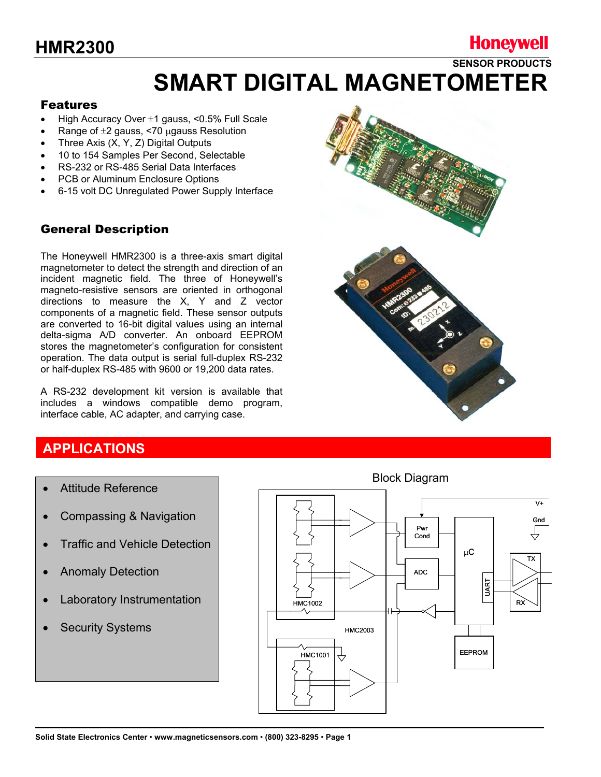## **Honeywell**

**SENSOR PRODUCTS** 

# **SMART DIGITAL MAGNETOMETER**

#### Features

- High Accuracy Over  $\pm 1$  gauss, <0.5% Full Scale
- Range of  $\pm 2$  gauss, <70 µgauss Resolution
- Three Axis (X, Y, Z) Digital Outputs
- 10 to 154 Samples Per Second, Selectable
- RS-232 or RS-485 Serial Data Interfaces
- PCB or Aluminum Enclosure Options
- 6-15 volt DC Unregulated Power Supply Interface

#### General Description

The Honeywell HMR2300 is a three-axis smart digital magnetometer to detect the strength and direction of an incident magnetic field. The three of Honeywell's magneto-resistive sensors are oriented in orthogonal directions to measure the X, Y and Z vector components of a magnetic field. These sensor outputs are converted to 16-bit digital values using an internal delta-sigma A/D converter. An onboard EEPROM stores the magnetometer's configuration for consistent operation. The data output is serial full-duplex RS-232 or half-duplex RS-485 with 9600 or 19,200 data rates.

A RS-232 development kit version is available that includes a windows compatible demo program, interface cable, AC adapter, and carrying case.

### **APPLICATIONS**

- Attitude Reference
- Compassing & Navigation
- **Traffic and Vehicle Detection**
- Anomaly Detection
- Laboratory Instrumentation
- **Security Systems**



Block Diagram

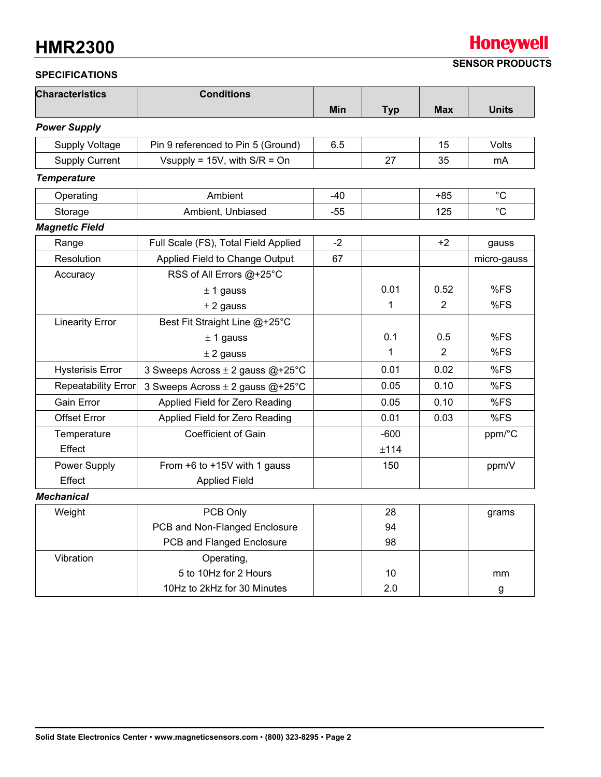### **Honeywell SENSOR PRODUCTS**

**SPECIFICATIONS** 

| <b>Characteristics</b><br><b>Conditions</b> |                                      |            |              |                |              |
|---------------------------------------------|--------------------------------------|------------|--------------|----------------|--------------|
|                                             |                                      | <b>Min</b> | <b>Typ</b>   | <b>Max</b>     | <b>Units</b> |
| <b>Power Supply</b>                         |                                      |            |              |                |              |
| <b>Supply Voltage</b>                       | Pin 9 referenced to Pin 5 (Ground)   | 6.5        |              | 15             | Volts        |
| <b>Supply Current</b>                       | Vsupply = $15V$ , with $S/R = On$    |            | 27           | 35             | mA           |
| <b>Temperature</b>                          |                                      |            |              |                |              |
| Operating                                   | Ambient                              | $-40$      |              | $+85$          | $^{\circ}C$  |
| Storage                                     | Ambient, Unbiased                    | $-55$      |              | 125            | $^{\circ}C$  |
| <b>Magnetic Field</b>                       |                                      |            |              |                |              |
| Range                                       | Full Scale (FS), Total Field Applied | $-2$       |              | $+2$           | gauss        |
| Resolution                                  | Applied Field to Change Output       | 67         |              |                | micro-gauss  |
| Accuracy                                    | RSS of All Errors @+25°C             |            |              |                |              |
|                                             | $± 1$ gauss                          |            | 0.01         | 0.52           | %FS          |
|                                             | $±$ 2 gauss                          |            | $\mathbf{1}$ | $\overline{2}$ | %FS          |
| <b>Linearity Error</b>                      | Best Fit Straight Line @+25°C        |            |              |                |              |
| $± 1$ gauss                                 |                                      |            | 0.1          | 0.5            | %FS          |
|                                             | $±$ 2 gauss                          |            | 1            | $\overline{2}$ | %FS          |
| <b>Hysterisis Error</b>                     | 3 Sweeps Across ± 2 gauss @+25°C     |            | 0.01         | 0.02           | %FS          |
| <b>Repeatability Error</b>                  | 3 Sweeps Across $\pm$ 2 gauss @+25°C |            | 0.05         | 0.10           | %FS          |
| Gain Error                                  | Applied Field for Zero Reading       |            | 0.05         | 0.10           | %FS          |
| <b>Offset Error</b>                         | Applied Field for Zero Reading       |            | 0.01         | 0.03           | %FS          |
| Temperature                                 | <b>Coefficient of Gain</b>           |            | $-600$       |                | ppm/°C       |
| Effect                                      |                                      |            | ±114         |                |              |
| Power Supply                                | From $+6$ to $+15V$ with 1 gauss     |            | 150          |                | ppm/V        |
| Effect                                      | <b>Applied Field</b>                 |            |              |                |              |
| <b>Mechanical</b>                           |                                      |            |              |                |              |
| Weight<br>PCB Only                          |                                      |            | 28           |                | grams        |
|                                             | PCB and Non-Flanged Enclosure        |            | 94           |                |              |
|                                             | PCB and Flanged Enclosure            |            | 98           |                |              |
| Vibration                                   | Operating,                           |            |              |                |              |
|                                             | 5 to 10Hz for 2 Hours                |            | 10           |                | mm           |
|                                             | 10Hz to 2kHz for 30 Minutes          |            | 2.0          |                | g            |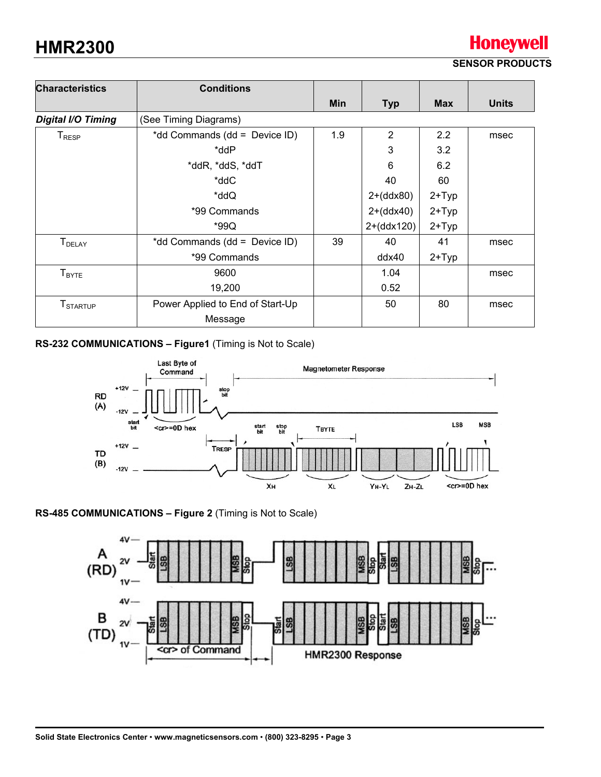#### **SENSOR PRODUCTS**

**Honeywell** 

| <b>Characteristics</b>        | <b>Conditions</b>                |     |                |               |              |
|-------------------------------|----------------------------------|-----|----------------|---------------|--------------|
|                               |                                  | Min | <b>Typ</b>     | <b>Max</b>    | <b>Units</b> |
| <b>Digital I/O Timing</b>     | (See Timing Diagrams)            |     |                |               |              |
| ${\mathsf T}_{\mathsf{RESP}}$ | *dd Commands (dd = Device ID)    | 1.9 | $\overline{2}$ | $2.2^{\circ}$ | msec         |
|                               | *ddP                             |     | 3              | 3.2           |              |
|                               | *ddR, *ddS, *ddT                 |     | 6              | 6.2           |              |
|                               | *ddC                             |     | 40             | 60            |              |
|                               | *ddQ                             |     | $2+(ddx80)$    | $2+Type$      |              |
|                               | *99 Commands                     |     | $2+(ddx40)$    | $2+Type$      |              |
|                               | *99Q                             |     | $2+(ddx120)$   | $2+Type$      |              |
| <b>T</b> <sub>DELAY</sub>     | *dd Commands (dd = Device ID)    | 39  | 40             | 41            | msec         |
|                               | *99 Commands                     |     | ddx40          | $2+Typ$       |              |
| $T_{\text{BYTE}}$             | 9600                             |     | 1.04           |               | msec         |
|                               | 19,200                           |     | 0.52           |               |              |
| <b>T</b> <sub>STARTUP</sub>   | Power Applied to End of Start-Up |     | 50             | 80            | msec         |
|                               | Message                          |     |                |               |              |

#### **RS-232 COMMUNICATIONS – Figure1** (Timing is Not to Scale)



#### **RS-485 COMMUNICATIONS – Figure 2** (Timing is Not to Scale)

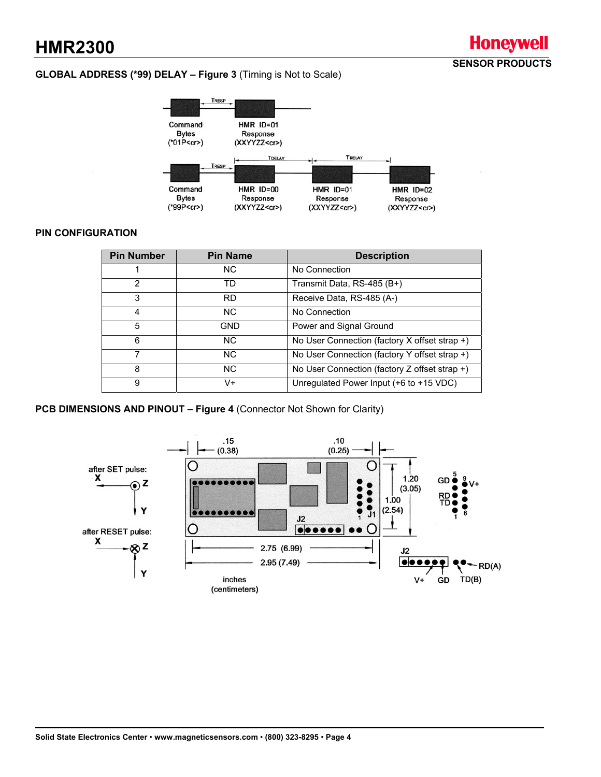#### **GLOBAL ADDRESS (\*99) DELAY – Figure 3** (Timing is Not to Scale)



**SENSOR PRODUCTS** 

**Honeywell** 

#### **PIN CONFIGURATION**

| <b>Pin Number</b> | <b>Pin Name</b> | <b>Description</b>                            |
|-------------------|-----------------|-----------------------------------------------|
|                   | NC.             | No Connection                                 |
| 2                 | TD              | Transmit Data, RS-485 (B+)                    |
| 3                 | <b>RD</b>       | Receive Data, RS-485 (A-)                     |
| 4                 | N <sub>C</sub>  | No Connection                                 |
| 5                 | GND             | Power and Signal Ground                       |
| 6                 | NC.             | No User Connection (factory X offset strap +) |
|                   | NC.             | No User Connection (factory Y offset strap +) |
| 8                 | NC.             | No User Connection (factory Z offset strap +) |
| 9                 | V+              | Unregulated Power Input (+6 to +15 VDC)       |

**PCB DIMENSIONS AND PINOUT – Figure 4** (Connector Not Shown for Clarity)

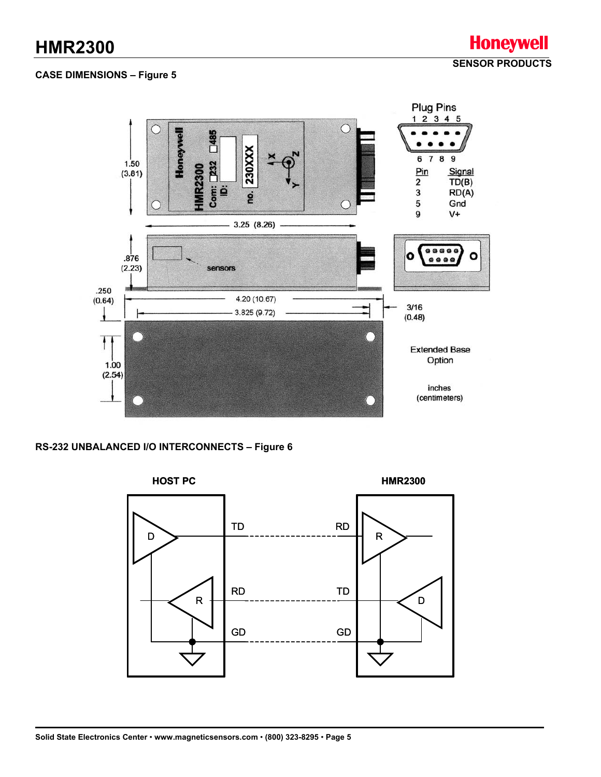#### **CASE DIMENSIONS – Figure 5**



#### **RS-232 UNBALANCED I/O INTERCONNECTS – Figure 6**

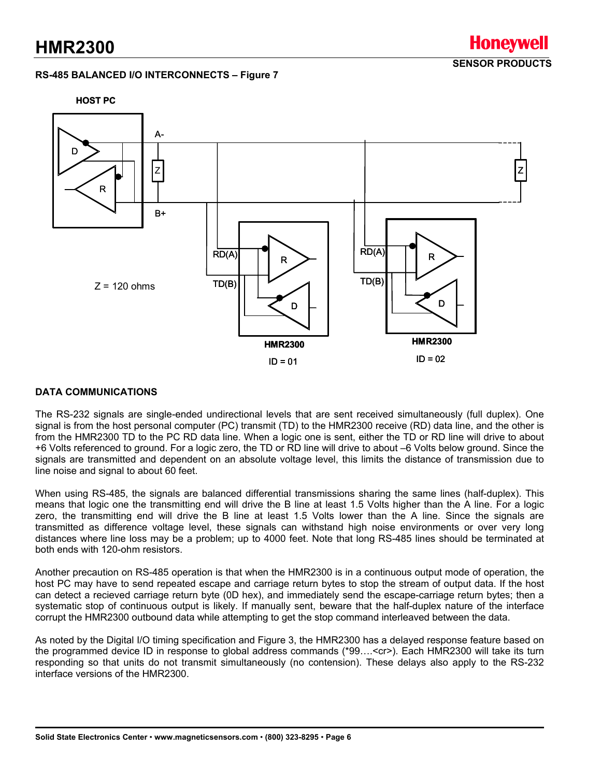#### **RS-485 BALANCED I/O INTERCONNECTS – Figure 7**

**SENSOR PRODUCTS** 

Honevwell



#### **DATA COMMUNICATIONS**

The RS-232 signals are single-ended undirectional levels that are sent received simultaneously (full duplex). One signal is from the host personal computer (PC) transmit (TD) to the HMR2300 receive (RD) data line, and the other is from the HMR2300 TD to the PC RD data line. When a logic one is sent, either the TD or RD line will drive to about +6 Volts referenced to ground. For a logic zero, the TD or RD line will drive to about –6 Volts below ground. Since the signals are transmitted and dependent on an absolute voltage level, this limits the distance of transmission due to line noise and signal to about 60 feet.

When using RS-485, the signals are balanced differential transmissions sharing the same lines (half-duplex). This means that logic one the transmitting end will drive the B line at least 1.5 Volts higher than the A line. For a logic zero, the transmitting end will drive the B line at least 1.5 Volts lower than the A line. Since the signals are transmitted as difference voltage level, these signals can withstand high noise environments or over very long distances where line loss may be a problem; up to 4000 feet. Note that long RS-485 lines should be terminated at both ends with 120-ohm resistors.

Another precaution on RS-485 operation is that when the HMR2300 is in a continuous output mode of operation, the host PC may have to send repeated escape and carriage return bytes to stop the stream of output data. If the host can detect a recieved carriage return byte (0D hex), and immediately send the escape-carriage return bytes; then a systematic stop of continuous output is likely. If manually sent, beware that the half-duplex nature of the interface corrupt the HMR2300 outbound data while attempting to get the stop command interleaved between the data.

As noted by the Digital I/O timing specification and Figure 3, the HMR2300 has a delayed response feature based on the programmed device ID in response to global address commands (\*99….<cr>). Each HMR2300 will take its turn responding so that units do not transmit simultaneously (no contension). These delays also apply to the RS-232 interface versions of the HMR2300.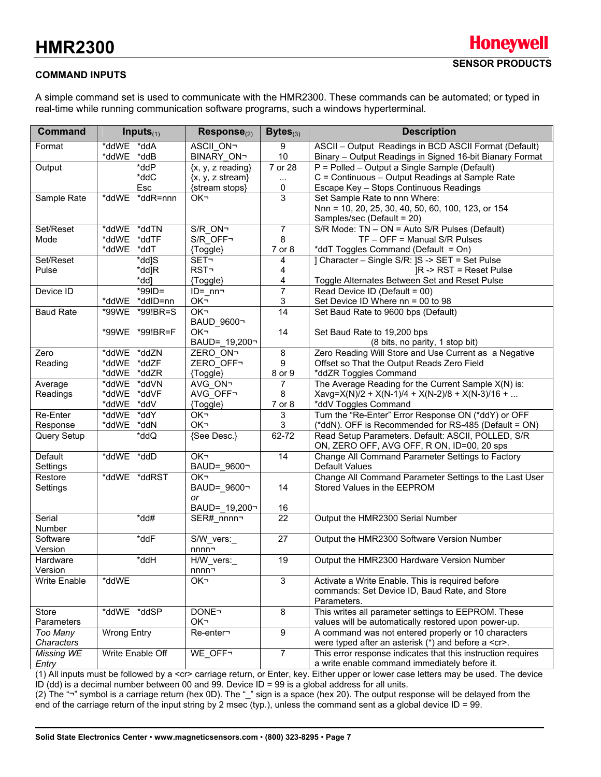#### **COMMAND INPUTS**

A simple command set is used to communicate with the HMR2300. These commands can be automated; or typed in real-time while running communication software programs, such a windows hyperterminal.

| <b>Command</b>      | Inputs $_{(1)}$                                    | $Response(2)$                 | Bytes $_{(3)}$          | <b>Description</b>                                                  |
|---------------------|----------------------------------------------------|-------------------------------|-------------------------|---------------------------------------------------------------------|
| Format              | *ddWE *ddA                                         | <b>ASCII ON-</b>              | 9                       | ASCII - Output Readings in BCD ASCII Format (Default)               |
|                     | *ddWE *ddB                                         | <b>BINARY ON-</b>             | 10                      | Binary - Output Readings in Signed 16-bit Bianary Format            |
| Output              | *ddP                                               | $\{x, y, z \text{ reading}\}$ | $\overline{7}$ or 28    | P = Polled - Output a Single Sample (Default)                       |
|                     | *ddC                                               | $\{x, y, z \text{ stream}\}$  | $\cdots$                | C = Continuous - Output Readings at Sample Rate                     |
|                     | Esc                                                | {stream stops}                | 0                       | Escape Key - Stops Continuous Readings                              |
| Sample Rate         | *ddWE *ddR=nnn                                     | OK-                           | 3                       | Set Sample Rate to nnn Where:                                       |
|                     |                                                    |                               |                         | Nnn = 10, 20, 25, 30, 40, 50, 60, 100, 123, or 154                  |
|                     |                                                    |                               |                         | Samples/sec (Default = 20)                                          |
| Set/Reset           | *ddWE *ddTN                                        | S/R ON-                       | $\overline{7}$          | S/R Mode: TN - ON = Auto S/R Pulses (Default)                       |
| Mode                | *ddWE *ddTF                                        | S/R OFF-                      | 8                       | TF - OFF = Manual S/R Pulses                                        |
|                     | *ddWE *ddT                                         | {Toggle}                      | 7 or 8                  | *ddT Toggles Command (Default = On)                                 |
| Set/Reset           | *dd]S                                              | <b>SET-</b>                   | 4                       | ] Character - Single S/R: JS -> SET = Set Pulse                     |
| Pulse               | *dd]R                                              | <b>RST-</b>                   | 4                       | $IR \rightarrow RST = Reset$ Pulse                                  |
|                     | *dd]                                               | {Toggle}                      | 4                       | Toggle Alternates Between Set and Reset Pulse                       |
| Device ID           | *99ID=                                             | $ID = nn -$                   | $\overline{7}$          | Read Device ID (Default = 00)                                       |
|                     | *ddWE *ddID=nn                                     | OK-                           | 3                       | Set Device ID Where nn = 00 to 98                                   |
| <b>Baud Rate</b>    | *99WE *99!BR=S                                     | OK <sub>1</sub>               | $\overline{14}$         | Set Baud Rate to 9600 bps (Default)                                 |
|                     |                                                    | BAUD 9600¬                    |                         |                                                                     |
|                     | *99WE *99!BR=F                                     | OK-                           | 14                      | Set Baud Rate to 19,200 bps                                         |
|                     |                                                    | BAUD= 19,200-                 |                         | (8 bits, no parity, 1 stop bit)                                     |
| Zero                | *ddWE *ddZN                                        | ZERO ON¬                      | $\overline{\mathbf{8}}$ | Zero Reading Will Store and Use Current as a Negative               |
| Reading             | *ddWE *ddZF<br>*ddWE *ddZR                         | ZERO_OFF¬<br>{Toggle}         | 9<br>8 or 9             | Offset so That the Output Reads Zero Field<br>*ddZR Toggles Command |
|                     | *ddWE *ddVN                                        | AVG ON-                       | 7                       | The Average Reading for the Current Sample X(N) is:                 |
| Average<br>Readings | *ddWE *ddVF                                        | AVG OFF-                      | 8                       | Xavg=X(N)/2 + X(N-1)/4 + X(N-2)/8 + X(N-3)/16 +                     |
|                     | *ddWE *ddV                                         | {Toggle}                      | 7 or 8                  | *ddV Toggles Command                                                |
| Re-Enter            | *ddWE<br>*ddY                                      | OK-                           | 3                       | Turn the "Re-Enter" Error Response ON (*ddY) or OFF                 |
| Response            | *ddWE *ddN                                         | OK-                           | 3                       | (*ddN). OFF is Recommended for RS-485 (Default = ON)                |
| Query Setup         | $\overline{\mathsf{C}}$ dd $\overline{\mathsf{C}}$ | {See Desc.}                   | 62-72                   | Read Setup Parameters. Default: ASCII, POLLED, S/R                  |
|                     |                                                    |                               |                         | ON, ZERO OFF, AVG OFF, R ON, ID=00, 20 sps                          |
| Default             | *ddWE *ddD                                         | OK-                           | 14                      | Change All Command Parameter Settings to Factory                    |
| Settings            |                                                    | BAUD= 9600¬                   |                         | Default Values                                                      |
| Restore             | *ddWE *ddRST                                       | OK <sub>1</sub>               |                         | Change All Command Parameter Settings to the Last User              |
| Settings            |                                                    | BAUD=_9600¬                   | 14                      | Stored Values in the EEPROM                                         |
|                     |                                                    | or                            |                         |                                                                     |
|                     |                                                    | BAUD= 19,200-                 | 16                      |                                                                     |
| Serial<br>Number    | *dd#                                               | SER# nnnn-                    | 22                      | Output the HMR2300 Serial Number                                    |
| Software            | *ddF                                               | S/W_vers:                     | $\overline{27}$         | Output the HMR2300 Software Version Number                          |
| Version             |                                                    | nnnn¬                         |                         |                                                                     |
| Hardware            | Hbb*                                               | H/W vers:                     | 19                      | Output the HMR2300 Hardware Version Number                          |
| Version             |                                                    | nnnn¬                         |                         |                                                                     |
| Write Enable        | *ddWE                                              | OK-                           | $\overline{3}$          | Activate a Write Enable. This is required before                    |
|                     |                                                    |                               |                         | commands: Set Device ID, Baud Rate, and Store                       |
|                     |                                                    |                               |                         | Parameters.                                                         |
| Store               | *ddWE *ddSP                                        | <b>DONE</b>                   | $\bf 8$                 | This writes all parameter settings to EEPROM. These                 |
| Parameters          |                                                    | OK-                           |                         | values will be automatically restored upon power-up.                |
| Too Many            | <b>Wrong Entry</b>                                 | Re-enter-                     | $\overline{9}$          | A command was not entered properly or 10 characters                 |
| Characters          |                                                    |                               |                         | were typed after an asterisk (*) and before a <cr>.</cr>            |
| Missing WE          | Write Enable Off                                   | WE_OFF-                       | $\overline{7}$          | This error response indicates that this instruction requires        |
| Entry               |                                                    |                               |                         | a write enable command immediately before it.                       |

(1) All inputs must be followed by a <cr> carriage return, or Enter, key. Either upper or lower case letters may be used. The device ID (dd) is a decimal number between 00 and 99. Device ID = 99 is a global address for all units.

(2) The "¬" symbol is a carriage return (hex 0D). The "\_" sign is a space (hex 20). The output response will be delayed from the end of the carriage return of the input string by 2 msec (typ.), unless the command sent as a global device ID = 99.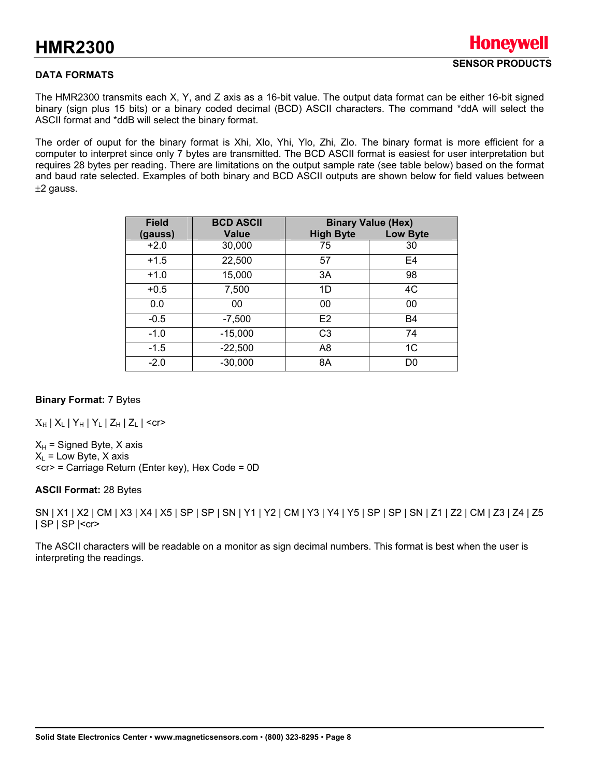#### **DATA FORMATS**

The HMR2300 transmits each X, Y, and Z axis as a 16-bit value. The output data format can be either 16-bit signed binary (sign plus 15 bits) or a binary coded decimal (BCD) ASCII characters. The command \*ddA will select the ASCII format and \*ddB will select the binary format.

The order of ouput for the binary format is Xhi, Xlo, Yhi, Ylo, Zhi, Zlo. The binary format is more efficient for a computer to interpret since only 7 bytes are transmitted. The BCD ASCII format is easiest for user interpretation but requires 28 bytes per reading. There are limitations on the output sample rate (see table below) based on the format and baud rate selected. Examples of both binary and BCD ASCII outputs are shown below for field values between  $±2$  gauss.

| <b>Field</b> | <b>BCD ASCII</b> |                  | <b>Binary Value (Hex)</b> |
|--------------|------------------|------------------|---------------------------|
| (gauss)      | <b>Value</b>     | <b>High Byte</b> | <b>Low Byte</b>           |
| $+2.0$       | 30,000           | 75               | 30                        |
| $+1.5$       | 22,500           | 57               | E <sub>4</sub>            |
| $+1.0$       | 15,000           | 3A               | 98                        |
| $+0.5$       | 7,500            | 1D               | 4C                        |
| 0.0          | 00               | 00               | 00                        |
| $-0.5$       | $-7,500$         | E <sub>2</sub>   | <b>B4</b>                 |
| $-1.0$       | $-15,000$        | C <sub>3</sub>   | 74                        |
| $-1.5$       | $-22,500$        | A8               | 1 <sup>C</sup>            |
| $-2.0$       | $-30,000$        | 8A               | D <sub>0</sub>            |

#### **Binary Format:** 7 Bytes

 $X_{\rm H}$  |  $X_{\rm L}$  |  $Y_{\rm H}$  |  $Y_{\rm L}$  |  $Z_{\rm H}$  |  $Z_{\rm L}$  | <cr>

 $X_H$  = Signed Byte, X axis  $X_1$  = Low Byte, X axis <cr> = Carriage Return (Enter key), Hex Code = 0D

#### **ASCII Format:** 28 Bytes

SN | X1 | X2 | CM | X3 | X4 | X5 | SP | SP | SN | Y1 | Y2 | CM | Y3 | Y4 | Y5 | SP | SP | SN | Z1 | Z2 | CM | Z3 | Z4 | Z5 | SP | SP |<cr>

The ASCII characters will be readable on a monitor as sign decimal numbers. This format is best when the user is interpreting the readings.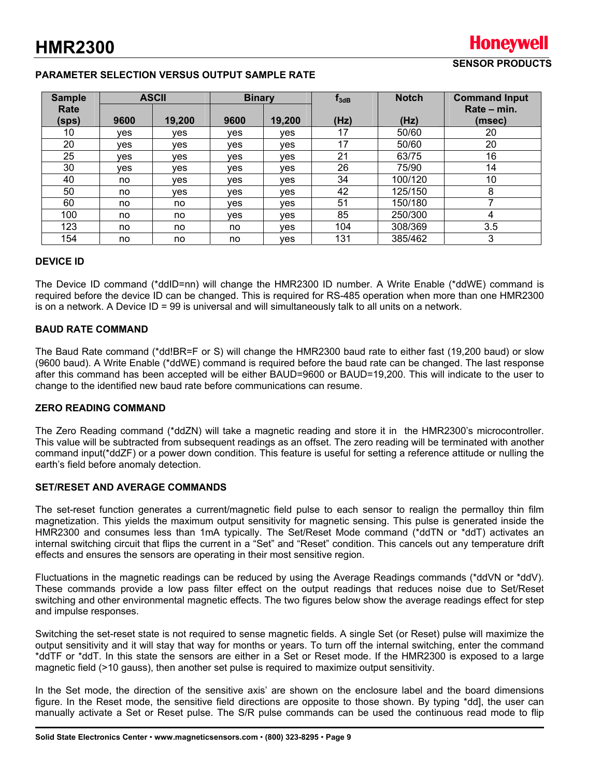#### **PARAMETER SELECTION VERSUS OUTPUT SAMPLE RATE**

| <b>Sample</b> |      | <b>ASCII</b> |            | <b>Binary</b> | $f_{3dB}$ | <b>Notch</b> | <b>Command Input</b> |
|---------------|------|--------------|------------|---------------|-----------|--------------|----------------------|
| Rate          |      |              |            |               |           |              | Rate - min.          |
| (sps)         | 9600 | 19,200       | 9600       | 19,200        | (Hz)      | (Hz)         | (msec)               |
| 10            | ves  | ves          | <b>ves</b> | ves           | 17        | 50/60        | 20                   |
| 20            | ves  | <b>ves</b>   | <b>ves</b> | ves           | 17        | 50/60        | 20                   |
| 25            | ves  | ves          | ves        | ves           | 21        | 63/75        | 16                   |
| 30            | ves  | ves          | <b>ves</b> | ves           | 26        | 75/90        | 14                   |
| 40            | no   | ves          | <b>ves</b> | ves           | 34        | 100/120      | 10                   |
| 50            | no   | <b>ves</b>   | <b>ves</b> | ves           | 42        | 125/150      | 8                    |
| 60            | no   | no           | ves        | ves           | 51        | 150/180      |                      |
| 100           | no   | no           | <b>ves</b> | ves           | 85        | 250/300      | 4                    |
| 123           | no   | no           | no         | ves           | 104       | 308/369      | 3.5                  |
| 154           | no   | no           | no         | yes           | 131       | 385/462      | 3                    |

#### **DEVICE ID**

The Device ID command (\*ddID=nn) will change the HMR2300 ID number. A Write Enable (\*ddWE) command is required before the device ID can be changed. This is required for RS-485 operation when more than one HMR2300 is on a network. A Device ID = 99 is universal and will simultaneously talk to all units on a network.

#### **BAUD RATE COMMAND**

The Baud Rate command (\*dd!BR=F or S) will change the HMR2300 baud rate to either fast (19,200 baud) or slow (9600 baud). A Write Enable (\*ddWE) command is required before the baud rate can be changed. The last response after this command has been accepted will be either BAUD=9600 or BAUD=19,200. This will indicate to the user to change to the identified new baud rate before communications can resume.

#### **ZERO READING COMMAND**

The Zero Reading command (\*ddZN) will take a magnetic reading and store it in the HMR2300's microcontroller. This value will be subtracted from subsequent readings as an offset. The zero reading will be terminated with another command input(\*ddZF) or a power down condition. This feature is useful for setting a reference attitude or nulling the earth's field before anomaly detection.

#### **SET/RESET AND AVERAGE COMMANDS**

The set-reset function generates a current/magnetic field pulse to each sensor to realign the permalloy thin film magnetization. This yields the maximum output sensitivity for magnetic sensing. This pulse is generated inside the HMR2300 and consumes less than 1mA typically. The Set/Reset Mode command (\*ddTN or \*ddT) activates an internal switching circuit that flips the current in a "Set" and "Reset" condition. This cancels out any temperature drift effects and ensures the sensors are operating in their most sensitive region.

Fluctuations in the magnetic readings can be reduced by using the Average Readings commands (\*ddVN or \*ddV). These commands provide a low pass filter effect on the output readings that reduces noise due to Set/Reset switching and other environmental magnetic effects. The two figures below show the average readings effect for step and impulse responses.

Switching the set-reset state is not required to sense magnetic fields. A single Set (or Reset) pulse will maximize the output sensitivity and it will stay that way for months or years. To turn off the internal switching, enter the command \*ddTF or \*ddT. In this state the sensors are either in a Set or Reset mode. If the HMR2300 is exposed to a large magnetic field (>10 gauss), then another set pulse is required to maximize output sensitivity.

In the Set mode, the direction of the sensitive axis' are shown on the enclosure label and the board dimensions figure. In the Reset mode, the sensitive field directions are opposite to those shown. By typing \*dd], the user can manually activate a Set or Reset pulse. The S/R pulse commands can be used the continuous read mode to flip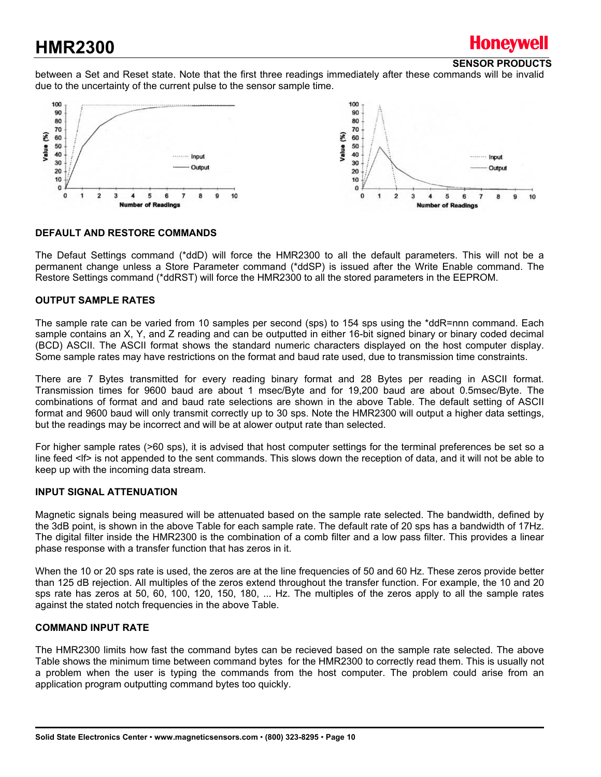## Honevwell

#### **SENSOR PRODUCTS**

between a Set and Reset state. Note that the first three readings immediately after these commands will be invalid due to the uncertainty of the current pulse to the sensor sample time.



#### **DEFAULT AND RESTORE COMMANDS**

The Defaut Settings command (\*ddD) will force the HMR2300 to all the default parameters. This will not be a permanent change unless a Store Parameter command (\*ddSP) is issued after the Write Enable command. The Restore Settings command (\*ddRST) will force the HMR2300 to all the stored parameters in the EEPROM.

#### **OUTPUT SAMPLE RATES**

The sample rate can be varied from 10 samples per second (sps) to 154 sps using the \*ddR=nnn command. Each sample contains an X, Y, and Z reading and can be outputted in either 16-bit signed binary or binary coded decimal (BCD) ASCII. The ASCII format shows the standard numeric characters displayed on the host computer display. Some sample rates may have restrictions on the format and baud rate used, due to transmission time constraints.

There are 7 Bytes transmitted for every reading binary format and 28 Bytes per reading in ASCII format. Transmission times for 9600 baud are about 1 msec/Byte and for 19,200 baud are about 0.5msec/Byte. The combinations of format and and baud rate selections are shown in the above Table. The default setting of ASCII format and 9600 baud will only transmit correctly up to 30 sps. Note the HMR2300 will output a higher data settings, but the readings may be incorrect and will be at alower output rate than selected.

For higher sample rates (>60 sps), it is advised that host computer settings for the terminal preferences be set so a line feed <lf> is not appended to the sent commands. This slows down the reception of data, and it will not be able to keep up with the incoming data stream.

#### **INPUT SIGNAL ATTENUATION**

Magnetic signals being measured will be attenuated based on the sample rate selected. The bandwidth, defined by the 3dB point, is shown in the above Table for each sample rate. The default rate of 20 sps has a bandwidth of 17Hz. The digital filter inside the HMR2300 is the combination of a comb filter and a low pass filter. This provides a linear phase response with a transfer function that has zeros in it.

When the 10 or 20 sps rate is used, the zeros are at the line frequencies of 50 and 60 Hz. These zeros provide better than 125 dB rejection. All multiples of the zeros extend throughout the transfer function. For example, the 10 and 20 sps rate has zeros at 50, 60, 100, 120, 150, 180, ... Hz. The multiples of the zeros apply to all the sample rates against the stated notch frequencies in the above Table.

#### **COMMAND INPUT RATE**

The HMR2300 limits how fast the command bytes can be recieved based on the sample rate selected. The above Table shows the minimum time between command bytes for the HMR2300 to correctly read them. This is usually not a problem when the user is typing the commands from the host computer. The problem could arise from an application program outputting command bytes too quickly.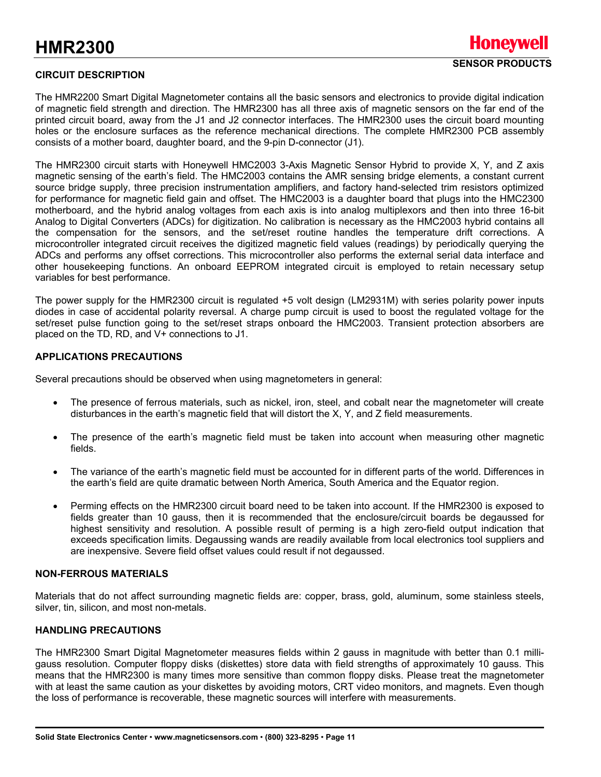#### **CIRCUIT DESCRIPTION**

The HMR2200 Smart Digital Magnetometer contains all the basic sensors and electronics to provide digital indication of magnetic field strength and direction. The HMR2300 has all three axis of magnetic sensors on the far end of the printed circuit board, away from the J1 and J2 connector interfaces. The HMR2300 uses the circuit board mounting holes or the enclosure surfaces as the reference mechanical directions. The complete HMR2300 PCB assembly consists of a mother board, daughter board, and the 9-pin D-connector (J1).

The HMR2300 circuit starts with Honeywell HMC2003 3-Axis Magnetic Sensor Hybrid to provide X, Y, and Z axis magnetic sensing of the earth's field. The HMC2003 contains the AMR sensing bridge elements, a constant current source bridge supply, three precision instrumentation amplifiers, and factory hand-selected trim resistors optimized for performance for magnetic field gain and offset. The HMC2003 is a daughter board that plugs into the HMC2300 motherboard, and the hybrid analog voltages from each axis is into analog multiplexors and then into three 16-bit Analog to Digital Converters (ADCs) for digitization. No calibration is necessary as the HMC2003 hybrid contains all the compensation for the sensors, and the set/reset routine handles the temperature drift corrections. A microcontroller integrated circuit receives the digitized magnetic field values (readings) by periodically querying the ADCs and performs any offset corrections. This microcontroller also performs the external serial data interface and other housekeeping functions. An onboard EEPROM integrated circuit is employed to retain necessary setup variables for best performance.

The power supply for the HMR2300 circuit is regulated +5 volt design (LM2931M) with series polarity power inputs diodes in case of accidental polarity reversal. A charge pump circuit is used to boost the regulated voltage for the set/reset pulse function going to the set/reset straps onboard the HMC2003. Transient protection absorbers are placed on the TD, RD, and V+ connections to J1.

#### **APPLICATIONS PRECAUTIONS**

Several precautions should be observed when using magnetometers in general:

- The presence of ferrous materials, such as nickel, iron, steel, and cobalt near the magnetometer will create disturbances in the earth's magnetic field that will distort the X, Y, and Z field measurements.
- The presence of the earth's magnetic field must be taken into account when measuring other magnetic fields.
- The variance of the earth's magnetic field must be accounted for in different parts of the world. Differences in the earth's field are quite dramatic between North America, South America and the Equator region.
- Perming effects on the HMR2300 circuit board need to be taken into account. If the HMR2300 is exposed to fields greater than 10 gauss, then it is recommended that the enclosure/circuit boards be degaussed for highest sensitivity and resolution. A possible result of perming is a high zero-field output indication that exceeds specification limits. Degaussing wands are readily available from local electronics tool suppliers and are inexpensive. Severe field offset values could result if not degaussed.

#### **NON-FERROUS MATERIALS**

Materials that do not affect surrounding magnetic fields are: copper, brass, gold, aluminum, some stainless steels, silver, tin, silicon, and most non-metals.

#### **HANDLING PRECAUTIONS**

The HMR2300 Smart Digital Magnetometer measures fields within 2 gauss in magnitude with better than 0.1 milligauss resolution. Computer floppy disks (diskettes) store data with field strengths of approximately 10 gauss. This means that the HMR2300 is many times more sensitive than common floppy disks. Please treat the magnetometer with at least the same caution as your diskettes by avoiding motors, CRT video monitors, and magnets. Even though the loss of performance is recoverable, these magnetic sources will interfere with measurements.